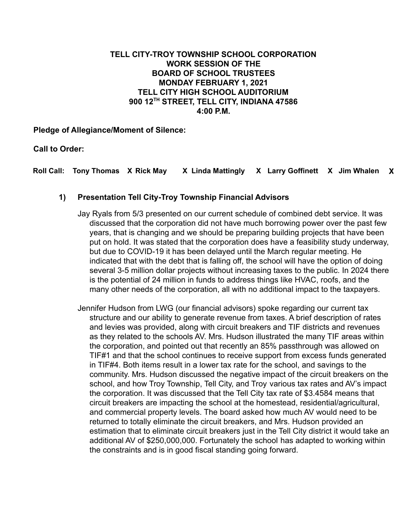# **TELL CITY-TROY TOWNSHIP SCHOOL CORPORATION WORK SESSION OF THE BOARD OF SCHOOL TRUSTEES MONDAY FEBRUARY 1, 2021 TELL CITY HIGH SCHOOL AUDITORIUM 900 12TH STREET, TELL CITY, INDIANA 47586 4:00 P.M.**

**Pledge of Allegiance/Moment of Silence:**

**Call to Order:**

**Roll Call: Tony Thomas X Rick May X Linda Mattingly X Larry Goffinett X Jim Whalen X**

# **1) Presentation Tell City-Troy Township Financial Advisors**

Jay Ryals from 5/3 presented on our current schedule of combined debt service. It was discussed that the corporation did not have much borrowing power over the past few years, that is changing and we should be preparing building projects that have been put on hold. It was stated that the corporation does have a feasibility study underway, but due to COVID-19 it has been delayed until the March regular meeting. He indicated that with the debt that is falling off, the school will have the option of doing several 3-5 million dollar projects without increasing taxes to the public. In 2024 there is the potential of 24 million in funds to address things like HVAC, roofs, and the many other needs of the corporation, all with no additional impact to the taxpayers.

Jennifer Hudson from LWG (our financial advisors) spoke regarding our current tax structure and our ability to generate revenue from taxes. A brief description of rates and levies was provided, along with circuit breakers and TIF districts and revenues as they related to the schools AV. Mrs. Hudson illustrated the many TIF areas within the corporation, and pointed out that recently an 85% passthrough was allowed on TIF#1 and that the school continues to receive support from excess funds generated in TIF#4. Both items result in a lower tax rate for the school, and savings to the community. Mrs. Hudson discussed the negative impact of the circuit breakers on the school, and how Troy Township, Tell City, and Troy various tax rates and AV's impact the corporation. It was discussed that the Tell City tax rate of \$3.4584 means that circuit breakers are impacting the school at the homestead, residential/agricultural, and commercial property levels. The board asked how much AV would need to be returned to totally eliminate the circuit breakers, and Mrs. Hudson provided an estimation that to eliminate circuit breakers just in the Tell City district it would take an additional AV of \$250,000,000. Fortunately the school has adapted to working within the constraints and is in good fiscal standing going forward.